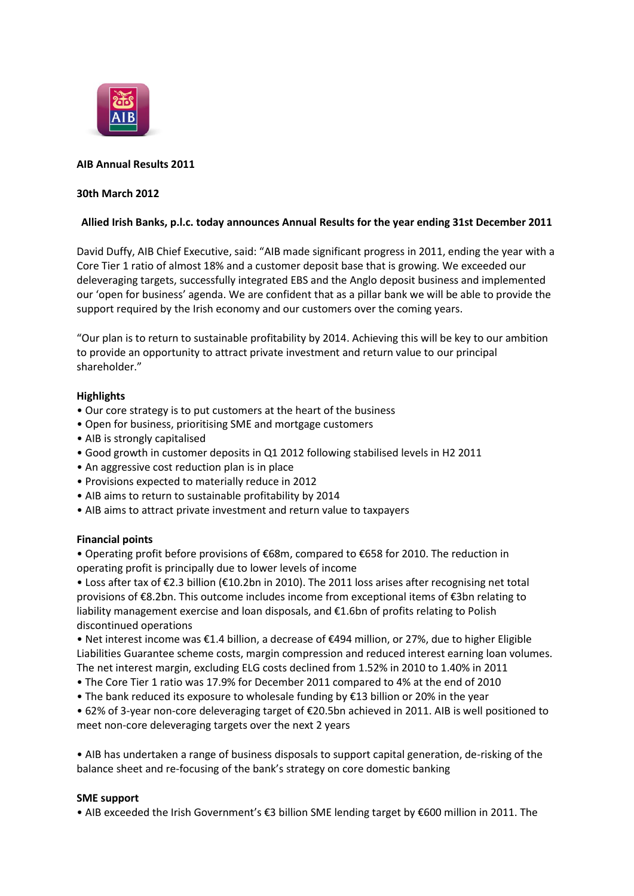

# **AIB Annual Results 2011**

## **30th March 2012**

# **Allied Irish Banks, p.l.c. today announces Annual Results for the year ending 31st December 2011**

David Duffy, AIB Chief Executive, said: "AIB made significant progress in 2011, ending the year with a Core Tier 1 ratio of almost 18% and a customer deposit base that is growing. We exceeded our deleveraging targets, successfully integrated EBS and the Anglo deposit business and implemented our 'open for business' agenda. We are confident that as a pillar bank we will be able to provide the support required by the Irish economy and our customers over the coming years.

"Our plan is to return to sustainable profitability by 2014. Achieving this will be key to our ambition to provide an opportunity to attract private investment and return value to our principal shareholder."

#### **Highlights**

- Our core strategy is to put customers at the heart of the business
- Open for business, prioritising SME and mortgage customers
- AIB is strongly capitalised
- Good growth in customer deposits in Q1 2012 following stabilised levels in H2 2011
- An aggressive cost reduction plan is in place
- Provisions expected to materially reduce in 2012
- AIB aims to return to sustainable profitability by 2014
- AIB aims to attract private investment and return value to taxpayers

#### **Financial points**

• Operating profit before provisions of €68m, compared to €658 for 2010. The reduction in operating profit is principally due to lower levels of income

• Loss after tax of €2.3 billion (€10.2bn in 2010). The 2011 loss arises after recognising net total provisions of €8.2bn. This outcome includes income from exceptional items of €3bn relating to liability management exercise and loan disposals, and €1.6bn of profits relating to Polish discontinued operations

• Net interest income was €1.4 billion, a decrease of €494 million, or 27%, due to higher Eligible Liabilities Guarantee scheme costs, margin compression and reduced interest earning loan volumes. The net interest margin, excluding ELG costs declined from 1.52% in 2010 to 1.40% in 2011

- The Core Tier 1 ratio was 17.9% for December 2011 compared to 4% at the end of 2010
- The bank reduced its exposure to wholesale funding by €13 billion or 20% in the year

• 62% of 3-year non-core deleveraging target of €20.5bn achieved in 2011. AIB is well positioned to meet non-core deleveraging targets over the next 2 years

• AIB has undertaken a range of business disposals to support capital generation, de-risking of the balance sheet and re-focusing of the bank's strategy on core domestic banking

#### **SME support**

• AIB exceeded the Irish Government's €3 billion SME lending target by €600 million in 2011. The